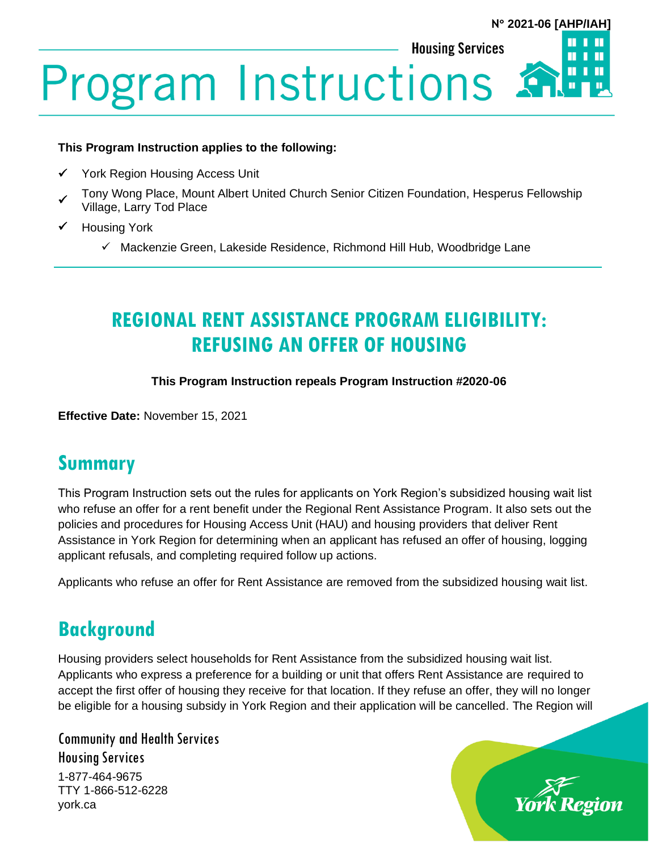#### **N 2021-06 [AHP/IAH]**



#### **This Program Instruction applies to the following:**

- York Region Housing Access Unit
- ✓ Tony Wong Place, Mount Albert United Church Senior Citizen Foundation, Hesperus Fellowship Village, Larry Tod Place
- ✓ Housing York
	- ✓ Mackenzie Green, Lakeside Residence, Richmond Hill Hub, Woodbridge Lane

## **REGIONAL RENT ASSISTANCE PROGRAM ELIGIBILITY: REFUSING AN OFFER OF HOUSING**

**This Program Instruction repeals Program Instruction #2020-06**

**Effective Date:** November 15, 2021

#### **Summary**

This Program Instruction sets out the rules for applicants on York Region's subsidized housing wait list who refuse an offer for a rent benefit under the Regional Rent Assistance Program. It also sets out the policies and procedures for Housing Access Unit (HAU) and housing providers that deliver Rent Assistance in York Region for determining when an applicant has refused an offer of housing, logging applicant refusals, and completing required follow up actions.

Applicants who refuse an offer for Rent Assistance are removed from the subsidized housing wait list.

### **Background**

Housing providers select households for Rent Assistance from the subsidized housing wait list. Applicants who express a preference for a building or unit that offers Rent Assistance are required to accept the first offer of housing they receive for that location. If they refuse an offer, they will no longer be eligible for a housing subsidy in York Region and their application will be cancelled. The Region will

Community and Health Services Housing Services 1-877-464-9675 TTY 1-866-512-6228 york.ca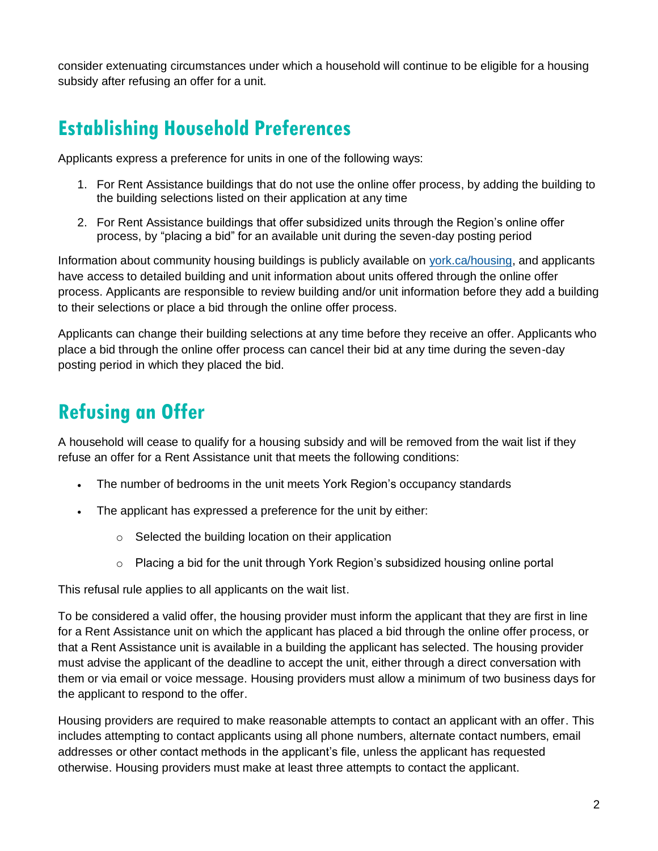consider extenuating circumstances under which a household will continue to be eligible for a housing subsidy after refusing an offer for a unit.

## **Establishing Household Preferences**

Applicants express a preference for units in one of the following ways:

- 1. For Rent Assistance buildings that do not use the online offer process, by adding the building to the building selections listed on their application at any time
- 2. For Rent Assistance buildings that offer subsidized units through the Region's online offer process, by "placing a bid" for an available unit during the seven-day posting period

Information about community housing buildings is publicly available on [york.ca/housing,](https://www.york.ca/wps/portal/yorkhome/support/yr/housing/!ut/p/z1/jY_LDoIwEEW_hQ8wMzQI3Tb4aAsEjTHibEw3lCZaiKILv15C3ArO7ibnPgYIKiBvXs6a3rXeXAd9pviixFZJmaEuI56iwFJolnBc5wmcRgB_nECgf_wTAE3H67mC4QN2L9LCAnWmbxbO1y1UTft8OG-HehoDGItiGaaoUZYc1SbZLVdchriPZoCMfYGJjd3tWL3z-qBsEHwAGMsgeg!!/dz/d5/L2dBISEvZ0FBIS9nQSEh/) and applicants have access to detailed building and unit information about units offered through the online offer process. Applicants are responsible to review building and/or unit information before they add a building to their selections or place a bid through the online offer process.

Applicants can change their building selections at any time before they receive an offer. Applicants who place a bid through the online offer process can cancel their bid at any time during the seven-day posting period in which they placed the bid.

## **Refusing an Offer**

A household will cease to qualify for a housing subsidy and will be removed from the wait list if they refuse an offer for a Rent Assistance unit that meets the following conditions:

- The number of bedrooms in the unit meets York Region's occupancy standards
- The applicant has expressed a preference for the unit by either:
	- o Selected the building location on their application
	- $\circ$  Placing a bid for the unit through York Region's subsidized housing online portal

This refusal rule applies to all applicants on the wait list.

To be considered a valid offer, the housing provider must inform the applicant that they are first in line for a Rent Assistance unit on which the applicant has placed a bid through the online offer process, or that a Rent Assistance unit is available in a building the applicant has selected. The housing provider must advise the applicant of the deadline to accept the unit, either through a direct conversation with them or via email or voice message. Housing providers must allow a minimum of two business days for the applicant to respond to the offer.

Housing providers are required to make reasonable attempts to contact an applicant with an offer. This includes attempting to contact applicants using all phone numbers, alternate contact numbers, email addresses or other contact methods in the applicant's file, unless the applicant has requested otherwise. Housing providers must make at least three attempts to contact the applicant.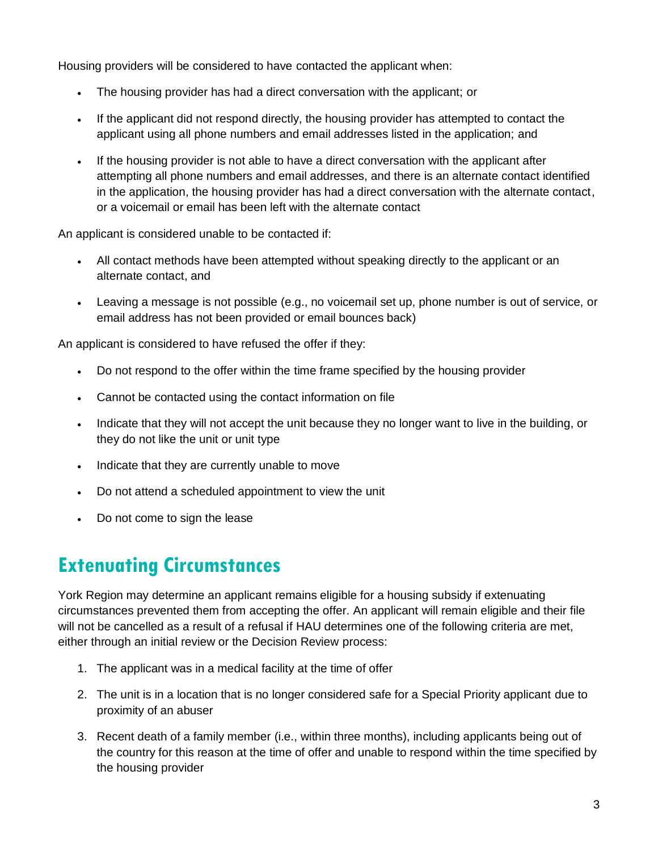Housing providers will be considered to have contacted the applicant when:

- The housing provider has had a direct conversation with the applicant; or
- If the applicant did not respond directly, the housing provider has attempted to contact the applicant using all phone numbers and email addresses listed in the application; and
- If the housing provider is not able to have a direct conversation with the applicant after attempting all phone numbers and email addresses, and there is an alternate contact identified in the application, the housing provider has had a direct conversation with the alternate contact, or a voicemail or email has been left with the alternate contact

An applicant is considered unable to be contacted if:

- All contact methods have been attempted without speaking directly to the applicant or an alternate contact, and
- Leaving a message is not possible (e.g., no voicemail set up, phone number is out of service, or email address has not been provided or email bounces back)

An applicant is considered to have refused the offer if they:

- Do not respond to the offer within the time frame specified by the housing provider
- Cannot be contacted using the contact information on file
- Indicate that they will not accept the unit because they no longer want to live in the building, or they do not like the unit or unit type
- Indicate that they are currently unable to move
- Do not attend a scheduled appointment to view the unit
- Do not come to sign the lease

### **Extenuating Circumstances**

York Region may determine an applicant remains eligible for a housing subsidy if extenuating circumstances prevented them from accepting the offer. An applicant will remain eligible and their file will not be cancelled as a result of a refusal if HAU determines one of the following criteria are met, either through an initial review or the Decision Review process:

- 1. The applicant was in a medical facility at the time of offer
- 2. The unit is in a location that is no longer considered safe for a Special Priority applicant due to proximity of an abuser
- 3. Recent death of a family member (i.e., within three months), including applicants being out of the country for this reason at the time of offer and unable to respond within the time specified by the housing provider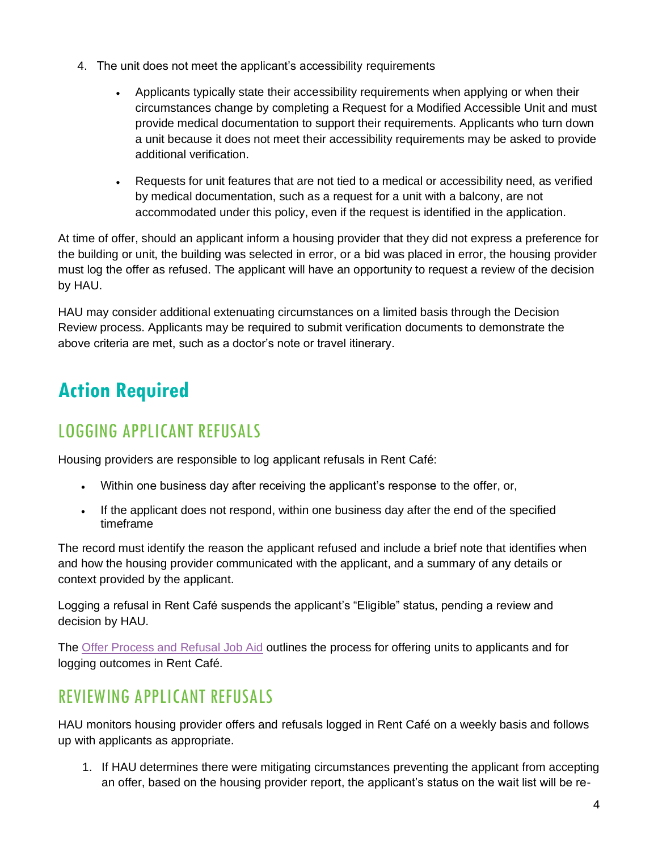- 4. The unit does not meet the applicant's accessibility requirements
	- Applicants typically state their accessibility requirements when applying or when their circumstances change by completing a Request for a Modified Accessible Unit and must provide medical documentation to support their requirements. Applicants who turn down a unit because it does not meet their accessibility requirements may be asked to provide additional verification.
	- Requests for unit features that are not tied to a medical or accessibility need, as verified by medical documentation, such as a request for a unit with a balcony, are not accommodated under this policy, even if the request is identified in the application.

At time of offer, should an applicant inform a housing provider that they did not express a preference for the building or unit, the building was selected in error, or a bid was placed in error, the housing provider must log the offer as refused. The applicant will have an opportunity to request a review of the decision by HAU.

HAU may consider additional extenuating circumstances on a limited basis through the Decision Review process. Applicants may be required to submit verification documents to demonstrate the above criteria are met, such as a doctor's note or travel itinerary.

# **Action Required**

## LOGGING APPLICANT REFUSALS

Housing providers are responsible to log applicant refusals in Rent Café:

- Within one business day after receiving the applicant's response to the offer, or,
- If the applicant does not respond, within one business day after the end of the specified timeframe

The record must identify the reason the applicant refused and include a brief note that identifies when and how the housing provider communicated with the applicant, and a summary of any details or context provided by the applicant.

Logging a refusal in Rent Café suspends the applicant's "Eligible" status, pending a review and decision by HAU.

The [Offer Process and Refusal Job Aid](https://www.york.ca/wps/wcm/connect/yorkpublic/f77223b1-ca22-48cf-9388-ea63161c08a2/Housing-Provider-Offer-Process-and-Refusals-Job-Aid.pdf?MOD=AJPERES) outlines the process for offering units to applicants and for logging outcomes in Rent Café.

#### REVIEWING APPLICANT REFUSALS

HAU monitors housing provider offers and refusals logged in Rent Café on a weekly basis and follows up with applicants as appropriate.

1. If HAU determines there were mitigating circumstances preventing the applicant from accepting an offer, based on the housing provider report, the applicant's status on the wait list will be re